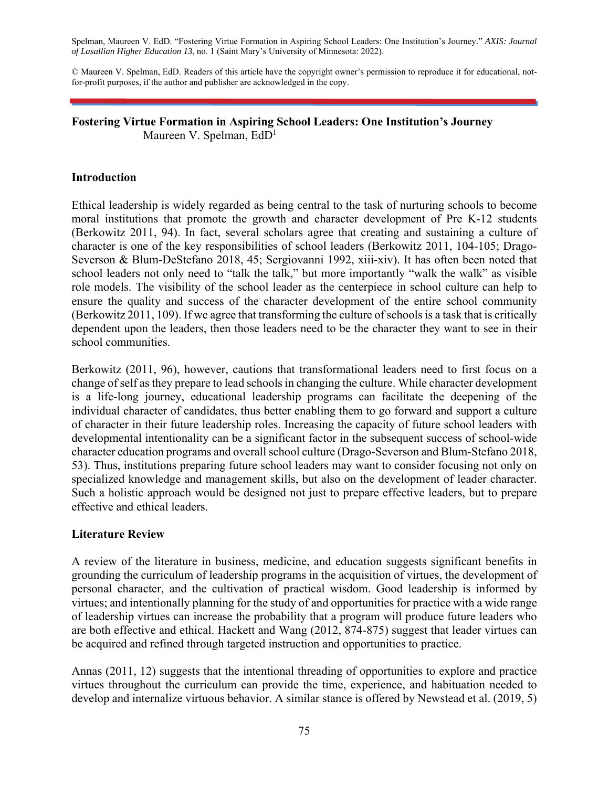Spelman, Maureen V. EdD. "Fostering Virtue Formation in Aspiring School Leaders: One Institution's Journey." *AXIS: Journal of Lasallian Higher Education 13*, no. 1 (Saint Mary's University of Minnesota: 2022).

© Maureen V. Spelman, EdD. Readers of this article have the copyright owner's permission to reproduce it for educational, notfor-profit purposes, if the author and publisher are acknowledged in the copy.

#### **Fostering Virtue Formation in Aspiring School Leaders: One Institution's Journey**  Maureen V. Spelman, EdD<sup>1</sup>

#### **Introduction**

Ethical leadership is widely regarded as being central to the task of nurturing schools to become moral institutions that promote the growth and character development of Pre K-12 students (Berkowitz 2011, 94). In fact, several scholars agree that creating and sustaining a culture of character is one of the key responsibilities of school leaders (Berkowitz 2011, 104-105; Drago-Severson & Blum-DeStefano 2018, 45; Sergiovanni 1992, xiii-xiv). It has often been noted that school leaders not only need to "talk the talk," but more importantly "walk the walk" as visible role models. The visibility of the school leader as the centerpiece in school culture can help to ensure the quality and success of the character development of the entire school community (Berkowitz 2011, 109). If we agree that transforming the culture of schools is a task that is critically dependent upon the leaders, then those leaders need to be the character they want to see in their school communities.

Berkowitz (2011, 96), however, cautions that transformational leaders need to first focus on a change of self as they prepare to lead schools in changing the culture. While character development is a life-long journey, educational leadership programs can facilitate the deepening of the individual character of candidates, thus better enabling them to go forward and support a culture of character in their future leadership roles. Increasing the capacity of future school leaders with developmental intentionality can be a significant factor in the subsequent success of school-wide character education programs and overall school culture (Drago-Severson and Blum-Stefano 2018, 53). Thus, institutions preparing future school leaders may want to consider focusing not only on specialized knowledge and management skills, but also on the development of leader character. Such a holistic approach would be designed not just to prepare effective leaders, but to prepare effective and ethical leaders.

#### **Literature Review**

A review of the literature in business, medicine, and education suggests significant benefits in grounding the curriculum of leadership programs in the acquisition of virtues, the development of personal character, and the cultivation of practical wisdom. Good leadership is informed by virtues; and intentionally planning for the study of and opportunities for practice with a wide range of leadership virtues can increase the probability that a program will produce future leaders who are both effective and ethical. Hackett and Wang (2012, 874-875) suggest that leader virtues can be acquired and refined through targeted instruction and opportunities to practice.

Annas (2011, 12) suggests that the intentional threading of opportunities to explore and practice virtues throughout the curriculum can provide the time, experience, and habituation needed to develop and internalize virtuous behavior. A similar stance is offered by Newstead et al. (2019, 5)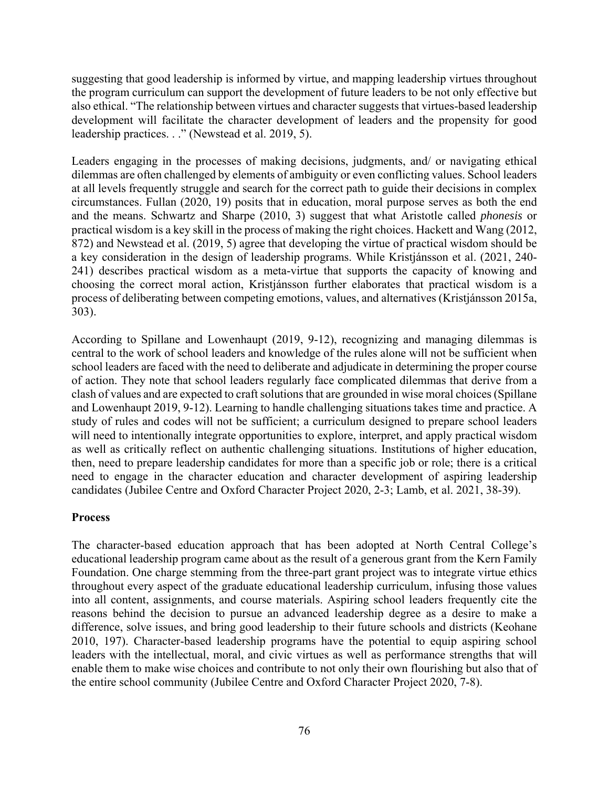suggesting that good leadership is informed by virtue, and mapping leadership virtues throughout the program curriculum can support the development of future leaders to be not only effective but also ethical. "The relationship between virtues and character suggests that virtues-based leadership development will facilitate the character development of leaders and the propensity for good leadership practices. . ." (Newstead et al. 2019, 5).

Leaders engaging in the processes of making decisions, judgments, and/ or navigating ethical dilemmas are often challenged by elements of ambiguity or even conflicting values. School leaders at all levels frequently struggle and search for the correct path to guide their decisions in complex circumstances. Fullan (2020, 19) posits that in education, moral purpose serves as both the end and the means. Schwartz and Sharpe (2010, 3) suggest that what Aristotle called *phonesis* or practical wisdom is a key skill in the process of making the right choices. Hackett and Wang (2012, 872) and Newstead et al. (2019, 5) agree that developing the virtue of practical wisdom should be a key consideration in the design of leadership programs. While Kristjánsson et al. (2021, 240- 241) describes practical wisdom as a meta-virtue that supports the capacity of knowing and choosing the correct moral action, Kristjánsson further elaborates that practical wisdom is a process of deliberating between competing emotions, values, and alternatives (Kristjánsson 2015a, 303).

According to Spillane and Lowenhaupt (2019, 9-12), recognizing and managing dilemmas is central to the work of school leaders and knowledge of the rules alone will not be sufficient when school leaders are faced with the need to deliberate and adjudicate in determining the proper course of action. They note that school leaders regularly face complicated dilemmas that derive from a clash of values and are expected to craft solutions that are grounded in wise moral choices (Spillane and Lowenhaupt 2019, 9-12). Learning to handle challenging situations takes time and practice. A study of rules and codes will not be sufficient; a curriculum designed to prepare school leaders will need to intentionally integrate opportunities to explore, interpret, and apply practical wisdom as well as critically reflect on authentic challenging situations. Institutions of higher education, then, need to prepare leadership candidates for more than a specific job or role; there is a critical need to engage in the character education and character development of aspiring leadership candidates (Jubilee Centre and Oxford Character Project 2020, 2-3; Lamb, et al. 2021, 38-39).

#### **Process**

The character-based education approach that has been adopted at North Central College's educational leadership program came about as the result of a generous grant from the Kern Family Foundation. One charge stemming from the three-part grant project was to integrate virtue ethics throughout every aspect of the graduate educational leadership curriculum, infusing those values into all content, assignments, and course materials. Aspiring school leaders frequently cite the reasons behind the decision to pursue an advanced leadership degree as a desire to make a difference, solve issues, and bring good leadership to their future schools and districts (Keohane 2010, 197). Character-based leadership programs have the potential to equip aspiring school leaders with the intellectual, moral, and civic virtues as well as performance strengths that will enable them to make wise choices and contribute to not only their own flourishing but also that of the entire school community (Jubilee Centre and Oxford Character Project 2020, 7-8).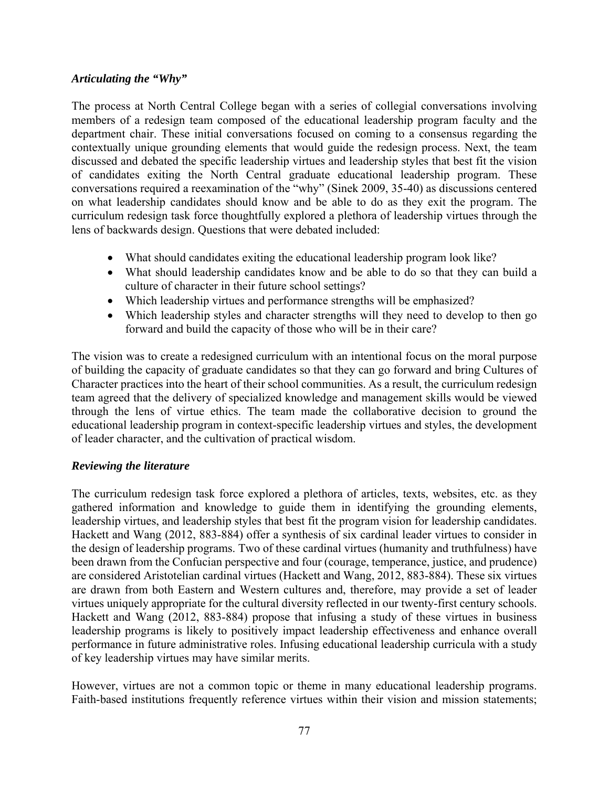## *Articulating the "Why"*

The process at North Central College began with a series of collegial conversations involving members of a redesign team composed of the educational leadership program faculty and the department chair. These initial conversations focused on coming to a consensus regarding the contextually unique grounding elements that would guide the redesign process. Next, the team discussed and debated the specific leadership virtues and leadership styles that best fit the vision of candidates exiting the North Central graduate educational leadership program. These conversations required a reexamination of the "why" (Sinek 2009, 35-40) as discussions centered on what leadership candidates should know and be able to do as they exit the program. The curriculum redesign task force thoughtfully explored a plethora of leadership virtues through the lens of backwards design. Questions that were debated included:

- What should candidates exiting the educational leadership program look like?
- What should leadership candidates know and be able to do so that they can build a culture of character in their future school settings?
- Which leadership virtues and performance strengths will be emphasized?
- Which leadership styles and character strengths will they need to develop to then go forward and build the capacity of those who will be in their care?

The vision was to create a redesigned curriculum with an intentional focus on the moral purpose of building the capacity of graduate candidates so that they can go forward and bring Cultures of Character practices into the heart of their school communities. As a result, the curriculum redesign team agreed that the delivery of specialized knowledge and management skills would be viewed through the lens of virtue ethics. The team made the collaborative decision to ground the educational leadership program in context-specific leadership virtues and styles, the development of leader character, and the cultivation of practical wisdom.

# *Reviewing the literature*

The curriculum redesign task force explored a plethora of articles, texts, websites, etc. as they gathered information and knowledge to guide them in identifying the grounding elements, leadership virtues, and leadership styles that best fit the program vision for leadership candidates. Hackett and Wang (2012, 883-884) offer a synthesis of six cardinal leader virtues to consider in the design of leadership programs. Two of these cardinal virtues (humanity and truthfulness) have been drawn from the Confucian perspective and four (courage, temperance, justice, and prudence) are considered Aristotelian cardinal virtues (Hackett and Wang, 2012, 883-884). These six virtues are drawn from both Eastern and Western cultures and, therefore, may provide a set of leader virtues uniquely appropriate for the cultural diversity reflected in our twenty-first century schools. Hackett and Wang (2012, 883-884) propose that infusing a study of these virtues in business leadership programs is likely to positively impact leadership effectiveness and enhance overall performance in future administrative roles. Infusing educational leadership curricula with a study of key leadership virtues may have similar merits.

However, virtues are not a common topic or theme in many educational leadership programs. Faith-based institutions frequently reference virtues within their vision and mission statements;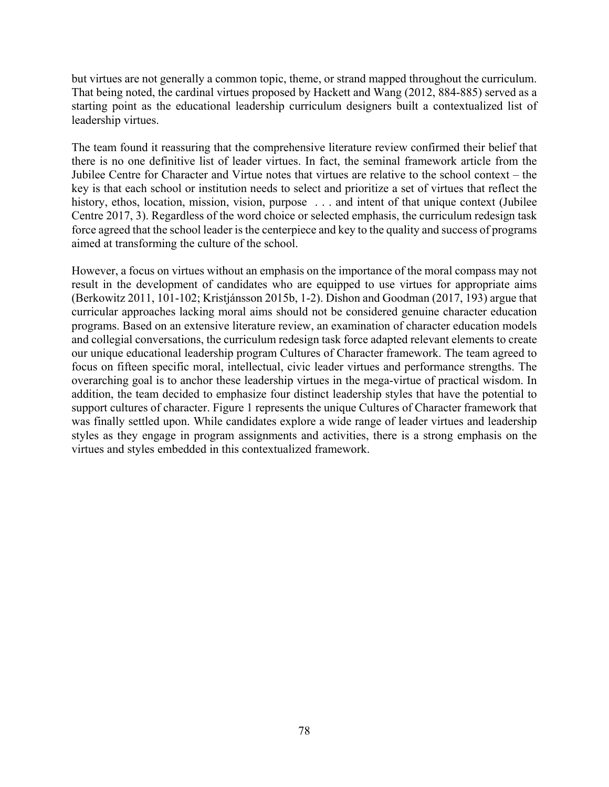but virtues are not generally a common topic, theme, or strand mapped throughout the curriculum. That being noted, the cardinal virtues proposed by Hackett and Wang (2012, 884-885) served as a starting point as the educational leadership curriculum designers built a contextualized list of leadership virtues.

The team found it reassuring that the comprehensive literature review confirmed their belief that there is no one definitive list of leader virtues. In fact, the seminal framework article from the Jubilee Centre for Character and Virtue notes that virtues are relative to the school context – the key is that each school or institution needs to select and prioritize a set of virtues that reflect the history, ethos, location, mission, vision, purpose . . . and intent of that unique context (Jubilee Centre 2017, 3). Regardless of the word choice or selected emphasis, the curriculum redesign task force agreed that the school leader is the centerpiece and key to the quality and success of programs aimed at transforming the culture of the school.

However, a focus on virtues without an emphasis on the importance of the moral compass may not result in the development of candidates who are equipped to use virtues for appropriate aims (Berkowitz 2011, 101-102; Kristjánsson 2015b, 1-2). Dishon and Goodman (2017, 193) argue that curricular approaches lacking moral aims should not be considered genuine character education programs. Based on an extensive literature review, an examination of character education models and collegial conversations, the curriculum redesign task force adapted relevant elements to create our unique educational leadership program Cultures of Character framework. The team agreed to focus on fifteen specific moral, intellectual, civic leader virtues and performance strengths. The overarching goal is to anchor these leadership virtues in the mega-virtue of practical wisdom. In addition, the team decided to emphasize four distinct leadership styles that have the potential to support cultures of character. Figure 1 represents the unique Cultures of Character framework that was finally settled upon. While candidates explore a wide range of leader virtues and leadership styles as they engage in program assignments and activities, there is a strong emphasis on the virtues and styles embedded in this contextualized framework.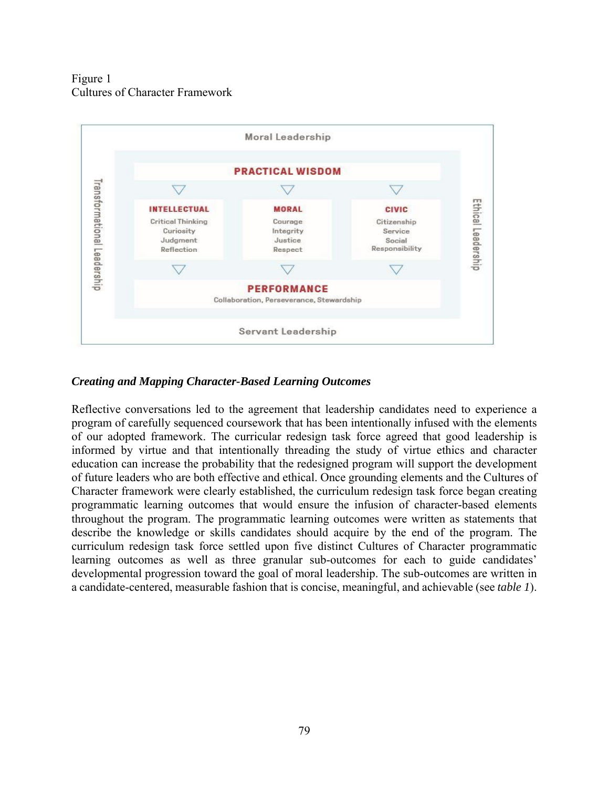Figure 1 Cultures of Character Framework



#### *Creating and Mapping Character-Based Learning Outcomes*

Reflective conversations led to the agreement that leadership candidates need to experience a program of carefully sequenced coursework that has been intentionally infused with the elements of our adopted framework. The curricular redesign task force agreed that good leadership is informed by virtue and that intentionally threading the study of virtue ethics and character education can increase the probability that the redesigned program will support the development of future leaders who are both effective and ethical. Once grounding elements and the Cultures of Character framework were clearly established, the curriculum redesign task force began creating programmatic learning outcomes that would ensure the infusion of character-based elements throughout the program. The programmatic learning outcomes were written as statements that describe the knowledge or skills candidates should acquire by the end of the program. The curriculum redesign task force settled upon five distinct Cultures of Character programmatic learning outcomes as well as three granular sub-outcomes for each to guide candidates' developmental progression toward the goal of moral leadership. The sub-outcomes are written in a candidate-centered, measurable fashion that is concise, meaningful, and achievable (see *table 1*).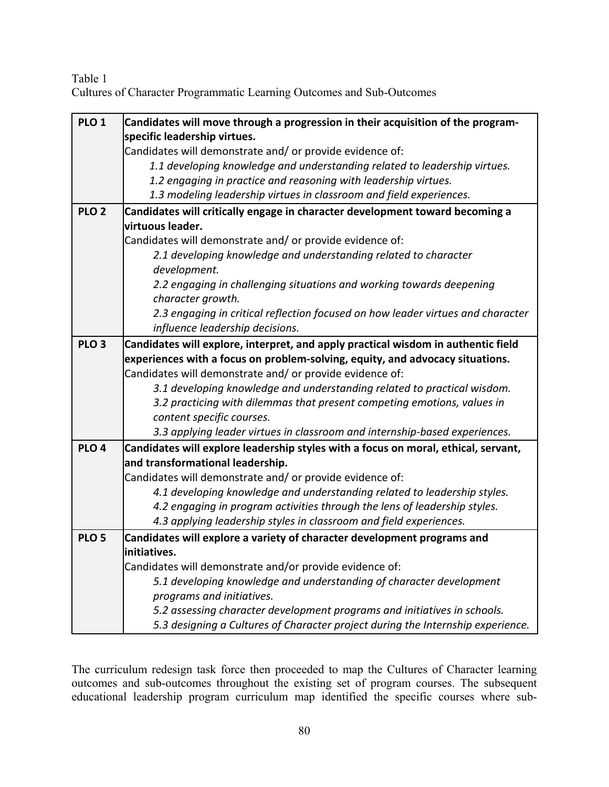Table 1 Cultures of Character Programmatic Learning Outcomes and Sub-Outcomes

| PLO <sub>1</sub> | Candidates will move through a progression in their acquisition of the program-    |  |  |  |  |
|------------------|------------------------------------------------------------------------------------|--|--|--|--|
|                  | specific leadership virtues.                                                       |  |  |  |  |
|                  | Candidates will demonstrate and/ or provide evidence of:                           |  |  |  |  |
|                  | 1.1 developing knowledge and understanding related to leadership virtues.          |  |  |  |  |
|                  | 1.2 engaging in practice and reasoning with leadership virtues.                    |  |  |  |  |
|                  | 1.3 modeling leadership virtues in classroom and field experiences.                |  |  |  |  |
| PLO <sub>2</sub> | Candidates will critically engage in character development toward becoming a       |  |  |  |  |
|                  | virtuous leader.                                                                   |  |  |  |  |
|                  | Candidates will demonstrate and/ or provide evidence of:                           |  |  |  |  |
|                  | 2.1 developing knowledge and understanding related to character                    |  |  |  |  |
|                  | development.                                                                       |  |  |  |  |
|                  | 2.2 engaging in challenging situations and working towards deepening               |  |  |  |  |
|                  | character growth.                                                                  |  |  |  |  |
|                  | 2.3 engaging in critical reflection focused on how leader virtues and character    |  |  |  |  |
|                  | influence leadership decisions.                                                    |  |  |  |  |
| PLO <sub>3</sub> | Candidates will explore, interpret, and apply practical wisdom in authentic field  |  |  |  |  |
|                  | experiences with a focus on problem-solving, equity, and advocacy situations.      |  |  |  |  |
|                  | Candidates will demonstrate and/ or provide evidence of:                           |  |  |  |  |
|                  | 3.1 developing knowledge and understanding related to practical wisdom.            |  |  |  |  |
|                  | 3.2 practicing with dilemmas that present competing emotions, values in            |  |  |  |  |
|                  | content specific courses.                                                          |  |  |  |  |
|                  | 3.3 applying leader virtues in classroom and internship-based experiences.         |  |  |  |  |
| PLO <sub>4</sub> | Candidates will explore leadership styles with a focus on moral, ethical, servant, |  |  |  |  |
|                  | and transformational leadership.                                                   |  |  |  |  |
|                  | Candidates will demonstrate and/ or provide evidence of:                           |  |  |  |  |
|                  | 4.1 developing knowledge and understanding related to leadership styles.           |  |  |  |  |
|                  | 4.2 engaging in program activities through the lens of leadership styles.          |  |  |  |  |
|                  | 4.3 applying leadership styles in classroom and field experiences.                 |  |  |  |  |
| PLO <sub>5</sub> | Candidates will explore a variety of character development programs and            |  |  |  |  |
|                  | initiatives.                                                                       |  |  |  |  |
|                  | Candidates will demonstrate and/or provide evidence of:                            |  |  |  |  |
|                  | 5.1 developing knowledge and understanding of character development                |  |  |  |  |
|                  | programs and initiatives.                                                          |  |  |  |  |
|                  | 5.2 assessing character development programs and initiatives in schools.           |  |  |  |  |
|                  | 5.3 designing a Cultures of Character project during the Internship experience.    |  |  |  |  |

The curriculum redesign task force then proceeded to map the Cultures of Character learning outcomes and sub-outcomes throughout the existing set of program courses. The subsequent educational leadership program curriculum map identified the specific courses where sub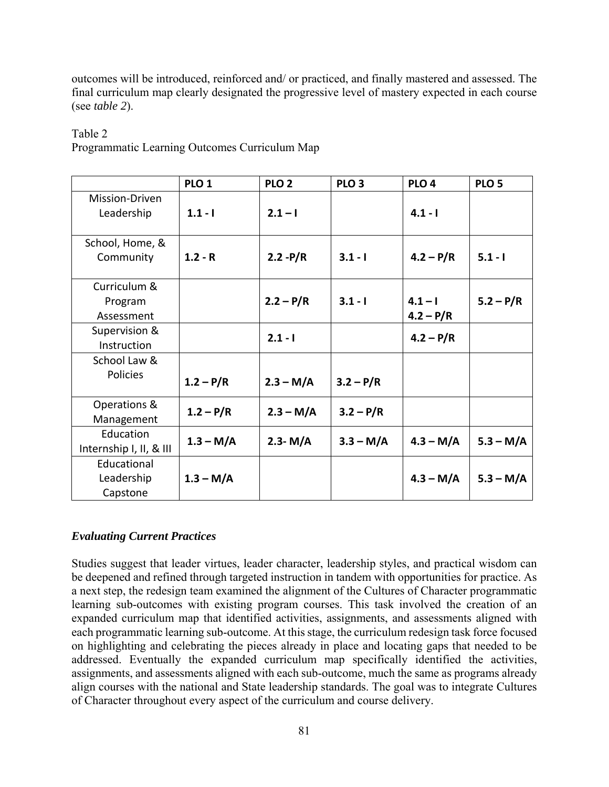outcomes will be introduced, reinforced and/ or practiced, and finally mastered and assessed. The final curriculum map clearly designated the progressive level of mastery expected in each course (see *table 2*).

Table 2

Programmatic Learning Outcomes Curriculum Map

|                         | PLO <sub>1</sub>           | PLO <sub>2</sub> | PLO <sub>3</sub> | PLO <sub>4</sub> | PLO <sub>5</sub> |
|-------------------------|----------------------------|------------------|------------------|------------------|------------------|
| Mission-Driven          |                            |                  |                  |                  |                  |
| Leadership              | $1.1 - 1$                  | $2.1 - 1$        |                  | $4.1 - 1$        |                  |
|                         |                            |                  |                  |                  |                  |
| School, Home, &         |                            |                  |                  |                  |                  |
| Community               | $1.2 - R$                  | $2.2 - P/R$      | $3.1 - 1$        | $4.2 - P/R$      | $5.1 - 1$        |
|                         |                            |                  |                  |                  |                  |
| Curriculum &            |                            |                  |                  |                  |                  |
| Program                 |                            | $2.2 - P/R$      | $3.1 - 1$        | $4.1 - 1$        | $5.2 - P/R$      |
| Assessment              |                            |                  |                  | $4.2 - P/R$      |                  |
| Supervision &           |                            | $2.1 - 1$        |                  | $4.2 - P/R$      |                  |
| Instruction             |                            |                  |                  |                  |                  |
| School Law &            |                            |                  |                  |                  |                  |
| Policies                | $1.2 - P/R$<br>$2.3 - M/A$ | $3.2 - P/R$      |                  |                  |                  |
|                         |                            |                  |                  |                  |                  |
| Operations &            |                            |                  |                  |                  |                  |
| Management              | $1.2 - P/R$                | $2.3 - M/A$      | $3.2 - P/R$      |                  |                  |
| Education               | $1.3 - M/A$                | $2.3 - M/A$      | $3.3 - M/A$      | $4.3 - M/A$      | $5.3 - M/A$      |
| Internship I, II, & III |                            |                  |                  |                  |                  |
| Educational             |                            |                  |                  |                  |                  |
| Leadership              | $1.3 - M/A$                |                  |                  | $4.3 - M/A$      | $5.3 - M/A$      |
| Capstone                |                            |                  |                  |                  |                  |

# *Evaluating Current Practices*

Studies suggest that leader virtues, leader character, leadership styles, and practical wisdom can be deepened and refined through targeted instruction in tandem with opportunities for practice. As a next step, the redesign team examined the alignment of the Cultures of Character programmatic learning sub-outcomes with existing program courses. This task involved the creation of an expanded curriculum map that identified activities, assignments, and assessments aligned with each programmatic learning sub-outcome. At this stage, the curriculum redesign task force focused on highlighting and celebrating the pieces already in place and locating gaps that needed to be addressed. Eventually the expanded curriculum map specifically identified the activities, assignments, and assessments aligned with each sub-outcome, much the same as programs already align courses with the national and State leadership standards. The goal was to integrate Cultures of Character throughout every aspect of the curriculum and course delivery.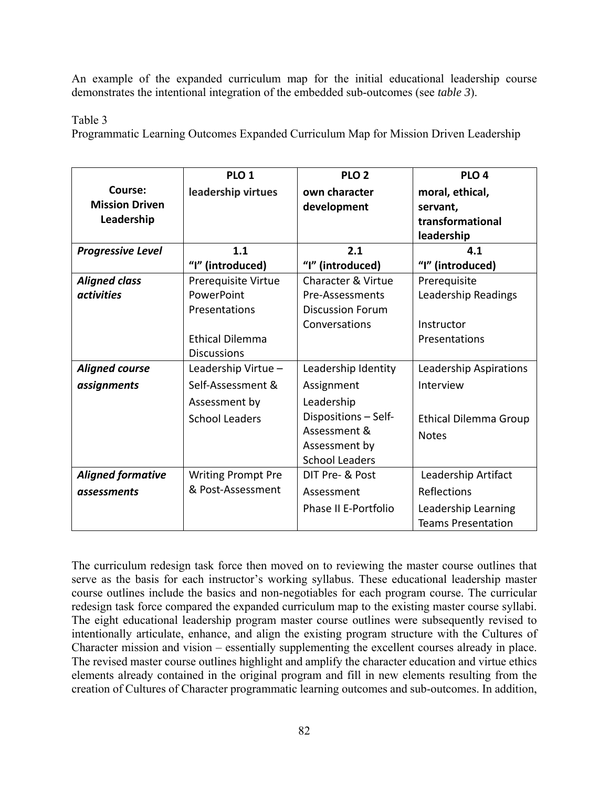An example of the expanded curriculum map for the initial educational leadership course demonstrates the intentional integration of the embedded sub-outcomes (see *table 3*).

Table 3

Programmatic Learning Outcomes Expanded Curriculum Map for Mission Driven Leadership

|                          | PLO <sub>1</sub>          | PLO <sub>2</sub>              | PLO <sub>4</sub>                                 |
|--------------------------|---------------------------|-------------------------------|--------------------------------------------------|
| Course:                  | leadership virtues        | own character                 | moral, ethical,                                  |
| <b>Mission Driven</b>    |                           | development                   | servant,                                         |
| Leadership               |                           |                               | transformational                                 |
|                          |                           |                               | leadership                                       |
| <b>Progressive Level</b> | 1.1                       | 2.1                           | 4.1                                              |
|                          | "I" (introduced)          | "I" (introduced)              | "I" (introduced)                                 |
| <b>Aligned class</b>     | Prerequisite Virtue       | <b>Character &amp; Virtue</b> | Prerequisite                                     |
| <i>activities</i>        | PowerPoint                | Pre-Assessments               | Leadership Readings                              |
|                          | Presentations             | <b>Discussion Forum</b>       |                                                  |
|                          |                           | Conversations                 | Instructor                                       |
|                          | <b>Ethical Dilemma</b>    |                               | Presentations                                    |
|                          | <b>Discussions</b>        |                               |                                                  |
| <b>Aligned course</b>    | Leadership Virtue -       | Leadership Identity           | Leadership Aspirations                           |
| assignments              | Self-Assessment &         | Assignment                    | Interview                                        |
|                          | Assessment by             | Leadership                    |                                                  |
|                          | <b>School Leaders</b>     | Dispositions - Self-          | Ethical Dilemma Group                            |
|                          |                           | Assessment &                  | <b>Notes</b>                                     |
|                          |                           | Assessment by                 |                                                  |
|                          |                           | <b>School Leaders</b>         |                                                  |
| <b>Aligned formative</b> | <b>Writing Prompt Pre</b> | DIT Pre- & Post               | Leadership Artifact                              |
| assessments              | & Post-Assessment         | Assessment                    | Reflections                                      |
|                          |                           | <b>Phase II E-Portfolio</b>   | Leadership Learning<br><b>Teams Presentation</b> |

The curriculum redesign task force then moved on to reviewing the master course outlines that serve as the basis for each instructor's working syllabus. These educational leadership master course outlines include the basics and non-negotiables for each program course. The curricular redesign task force compared the expanded curriculum map to the existing master course syllabi. The eight educational leadership program master course outlines were subsequently revised to intentionally articulate, enhance, and align the existing program structure with the Cultures of Character mission and vision – essentially supplementing the excellent courses already in place. The revised master course outlines highlight and amplify the character education and virtue ethics elements already contained in the original program and fill in new elements resulting from the creation of Cultures of Character programmatic learning outcomes and sub-outcomes. In addition,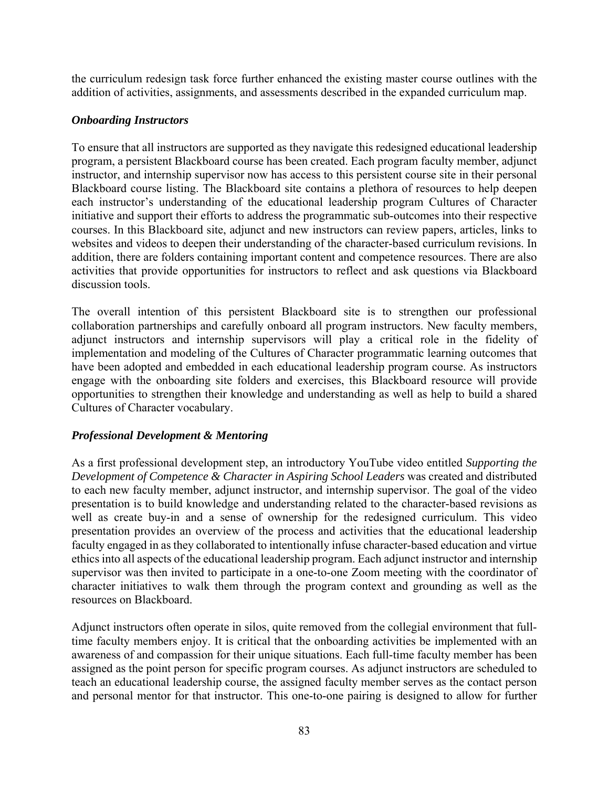the curriculum redesign task force further enhanced the existing master course outlines with the addition of activities, assignments, and assessments described in the expanded curriculum map.

## *Onboarding Instructors*

To ensure that all instructors are supported as they navigate this redesigned educational leadership program, a persistent Blackboard course has been created. Each program faculty member, adjunct instructor, and internship supervisor now has access to this persistent course site in their personal Blackboard course listing. The Blackboard site contains a plethora of resources to help deepen each instructor's understanding of the educational leadership program Cultures of Character initiative and support their efforts to address the programmatic sub-outcomes into their respective courses. In this Blackboard site, adjunct and new instructors can review papers, articles, links to websites and videos to deepen their understanding of the character-based curriculum revisions. In addition, there are folders containing important content and competence resources. There are also activities that provide opportunities for instructors to reflect and ask questions via Blackboard discussion tools.

The overall intention of this persistent Blackboard site is to strengthen our professional collaboration partnerships and carefully onboard all program instructors. New faculty members, adjunct instructors and internship supervisors will play a critical role in the fidelity of implementation and modeling of the Cultures of Character programmatic learning outcomes that have been adopted and embedded in each educational leadership program course. As instructors engage with the onboarding site folders and exercises, this Blackboard resource will provide opportunities to strengthen their knowledge and understanding as well as help to build a shared Cultures of Character vocabulary.

# *Professional Development & Mentoring*

As a first professional development step, an introductory YouTube video entitled *Supporting the Development of Competence & Character in Aspiring School Leaders* was created and distributed to each new faculty member, adjunct instructor, and internship supervisor. The goal of the video presentation is to build knowledge and understanding related to the character-based revisions as well as create buy-in and a sense of ownership for the redesigned curriculum. This video presentation provides an overview of the process and activities that the educational leadership faculty engaged in as they collaborated to intentionally infuse character-based education and virtue ethics into all aspects of the educational leadership program. Each adjunct instructor and internship supervisor was then invited to participate in a one-to-one Zoom meeting with the coordinator of character initiatives to walk them through the program context and grounding as well as the resources on Blackboard.

Adjunct instructors often operate in silos, quite removed from the collegial environment that fulltime faculty members enjoy. It is critical that the onboarding activities be implemented with an awareness of and compassion for their unique situations. Each full-time faculty member has been assigned as the point person for specific program courses. As adjunct instructors are scheduled to teach an educational leadership course, the assigned faculty member serves as the contact person and personal mentor for that instructor. This one-to-one pairing is designed to allow for further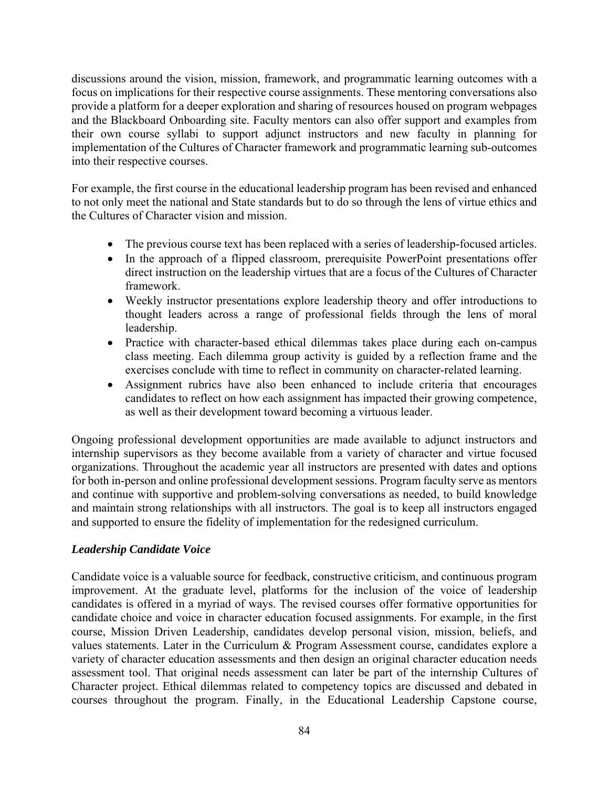discussions around the vision, mission, framework, and programmatic learning outcomes with a focus on implications for their respective course assignments. These mentoring conversations also provide a platform for a deeper exploration and sharing of resources housed on program webpages and the Blackboard Onboarding site. Faculty mentors can also offer support and examples from their own course syllabi to support adjunct instructors and new faculty in planning for implementation of the Cultures of Character framework and programmatic learning sub-outcomes into their respective courses.

For example, the first course in the educational leadership program has been revised and enhanced to not only meet the national and State standards but to do so through the lens of virtue ethics and the Cultures of Character vision and mission.

- The previous course text has been replaced with a series of leadership-focused articles.
- In the approach of a flipped classroom, prerequisite PowerPoint presentations offer direct instruction on the leadership virtues that are a focus of the Cultures of Character framework.
- Weekly instructor presentations explore leadership theory and offer introductions to thought leaders across a range of professional fields through the lens of moral leadership.
- Practice with character-based ethical dilemmas takes place during each on-campus class meeting. Each dilemma group activity is guided by a reflection frame and the exercises conclude with time to reflect in community on character-related learning.
- Assignment rubrics have also been enhanced to include criteria that encourages candidates to reflect on how each assignment has impacted their growing competence, as well as their development toward becoming a virtuous leader.

Ongoing professional development opportunities are made available to adjunct instructors and internship supervisors as they become available from a variety of character and virtue focused organizations. Throughout the academic year all instructors are presented with dates and options for both in-person and online professional development sessions. Program faculty serve as mentors and continue with supportive and problem-solving conversations as needed, to build knowledge and maintain strong relationships with all instructors. The goal is to keep all instructors engaged and supported to ensure the fidelity of implementation for the redesigned curriculum.

#### *Leadership Candidate Voice*

Candidate voice is a valuable source for feedback, constructive criticism, and continuous program improvement. At the graduate level, platforms for the inclusion of the voice of leadership candidates is offered in a myriad of ways. The revised courses offer formative opportunities for candidate choice and voice in character education focused assignments. For example, in the first course, Mission Driven Leadership, candidates develop personal vision, mission, beliefs, and values statements. Later in the Curriculum & Program Assessment course, candidates explore a variety of character education assessments and then design an original character education needs assessment tool. That original needs assessment can later be part of the internship Cultures of Character project. Ethical dilemmas related to competency topics are discussed and debated in courses throughout the program. Finally, in the Educational Leadership Capstone course,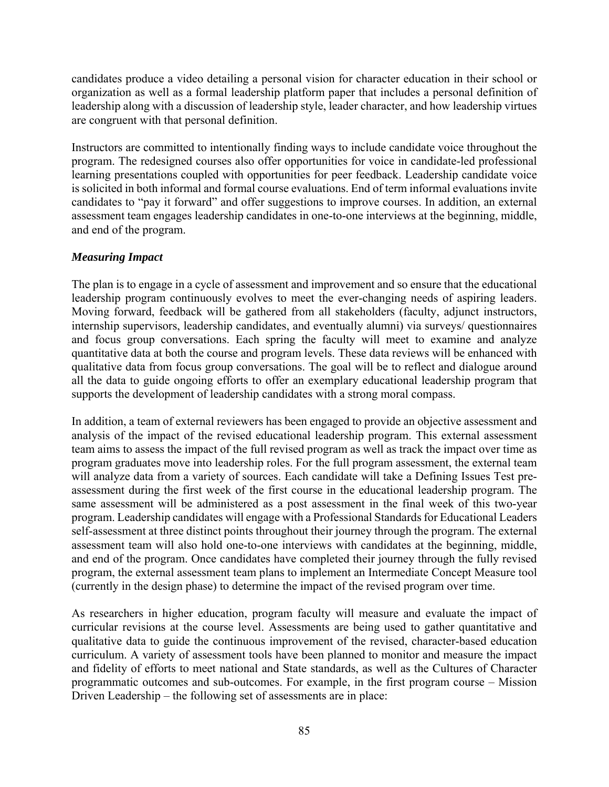candidates produce a video detailing a personal vision for character education in their school or organization as well as a formal leadership platform paper that includes a personal definition of leadership along with a discussion of leadership style, leader character, and how leadership virtues are congruent with that personal definition.

Instructors are committed to intentionally finding ways to include candidate voice throughout the program. The redesigned courses also offer opportunities for voice in candidate-led professional learning presentations coupled with opportunities for peer feedback. Leadership candidate voice is solicited in both informal and formal course evaluations. End of term informal evaluations invite candidates to "pay it forward" and offer suggestions to improve courses. In addition, an external assessment team engages leadership candidates in one-to-one interviews at the beginning, middle, and end of the program.

# *Measuring Impact*

The plan is to engage in a cycle of assessment and improvement and so ensure that the educational leadership program continuously evolves to meet the ever-changing needs of aspiring leaders. Moving forward, feedback will be gathered from all stakeholders (faculty, adjunct instructors, internship supervisors, leadership candidates, and eventually alumni) via surveys/ questionnaires and focus group conversations. Each spring the faculty will meet to examine and analyze quantitative data at both the course and program levels. These data reviews will be enhanced with qualitative data from focus group conversations. The goal will be to reflect and dialogue around all the data to guide ongoing efforts to offer an exemplary educational leadership program that supports the development of leadership candidates with a strong moral compass.

In addition, a team of external reviewers has been engaged to provide an objective assessment and analysis of the impact of the revised educational leadership program. This external assessment team aims to assess the impact of the full revised program as well as track the impact over time as program graduates move into leadership roles. For the full program assessment, the external team will analyze data from a variety of sources. Each candidate will take a Defining Issues Test preassessment during the first week of the first course in the educational leadership program. The same assessment will be administered as a post assessment in the final week of this two-year program. Leadership candidates will engage with a Professional Standards for Educational Leaders self-assessment at three distinct points throughout their journey through the program. The external assessment team will also hold one-to-one interviews with candidates at the beginning, middle, and end of the program. Once candidates have completed their journey through the fully revised program, the external assessment team plans to implement an Intermediate Concept Measure tool (currently in the design phase) to determine the impact of the revised program over time.

As researchers in higher education, program faculty will measure and evaluate the impact of curricular revisions at the course level. Assessments are being used to gather quantitative and qualitative data to guide the continuous improvement of the revised, character-based education curriculum. A variety of assessment tools have been planned to monitor and measure the impact and fidelity of efforts to meet national and State standards, as well as the Cultures of Character programmatic outcomes and sub-outcomes. For example, in the first program course – Mission Driven Leadership – the following set of assessments are in place: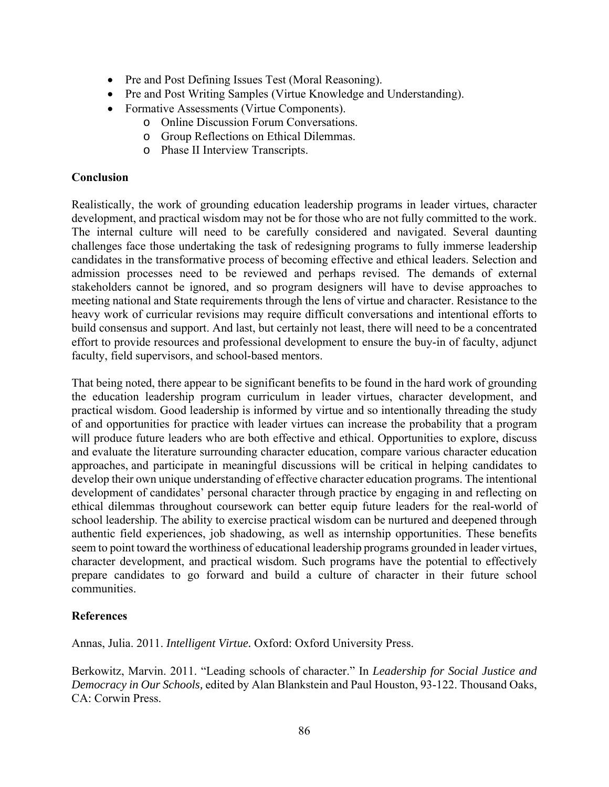- Pre and Post Defining Issues Test (Moral Reasoning).
- Pre and Post Writing Samples (Virtue Knowledge and Understanding).
- Formative Assessments (Virtue Components).
	- o Online Discussion Forum Conversations.
	- o Group Reflections on Ethical Dilemmas.
	- o Phase II Interview Transcripts.

### **Conclusion**

Realistically, the work of grounding education leadership programs in leader virtues, character development, and practical wisdom may not be for those who are not fully committed to the work. The internal culture will need to be carefully considered and navigated. Several daunting challenges face those undertaking the task of redesigning programs to fully immerse leadership candidates in the transformative process of becoming effective and ethical leaders. Selection and admission processes need to be reviewed and perhaps revised. The demands of external stakeholders cannot be ignored, and so program designers will have to devise approaches to meeting national and State requirements through the lens of virtue and character. Resistance to the heavy work of curricular revisions may require difficult conversations and intentional efforts to build consensus and support. And last, but certainly not least, there will need to be a concentrated effort to provide resources and professional development to ensure the buy-in of faculty, adjunct faculty, field supervisors, and school-based mentors.

That being noted, there appear to be significant benefits to be found in the hard work of grounding the education leadership program curriculum in leader virtues, character development, and practical wisdom. Good leadership is informed by virtue and so intentionally threading the study of and opportunities for practice with leader virtues can increase the probability that a program will produce future leaders who are both effective and ethical. Opportunities to explore, discuss and evaluate the literature surrounding character education, compare various character education approaches, and participate in meaningful discussions will be critical in helping candidates to develop their own unique understanding of effective character education programs. The intentional development of candidates' personal character through practice by engaging in and reflecting on ethical dilemmas throughout coursework can better equip future leaders for the real-world of school leadership. The ability to exercise practical wisdom can be nurtured and deepened through authentic field experiences, job shadowing, as well as internship opportunities. These benefits seem to point toward the worthiness of educational leadership programs grounded in leader virtues, character development, and practical wisdom. Such programs have the potential to effectively prepare candidates to go forward and build a culture of character in their future school communities.

# **References**

Annas, Julia. 2011. *Intelligent Virtue.* Oxford: Oxford University Press.

Berkowitz, Marvin. 2011. "Leading schools of character." In *Leadership for Social Justice and Democracy in Our Schools,* edited by Alan Blankstein and Paul Houston, 93-122. Thousand Oaks, CA: Corwin Press.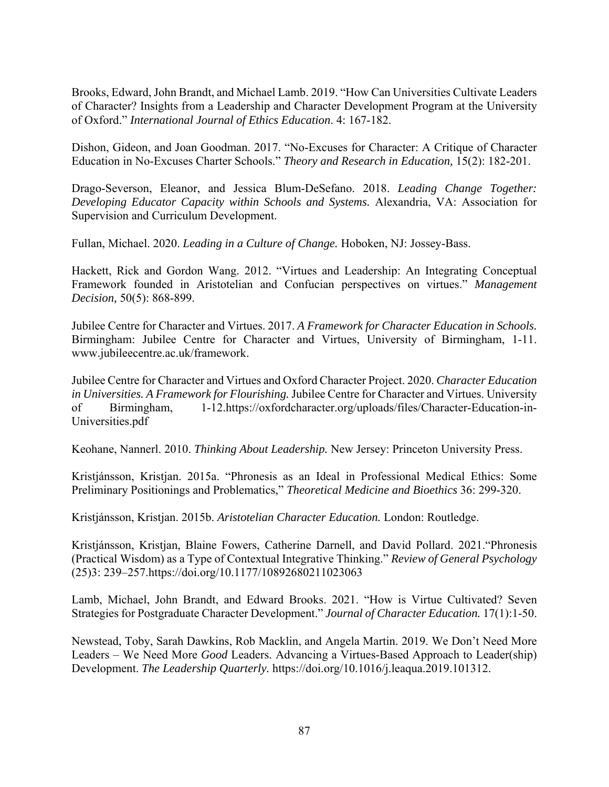Brooks, Edward, John Brandt, and Michael Lamb. 2019. "How Can Universities Cultivate Leaders of Character? Insights from a Leadership and Character Development Program at the University of Oxford." *International Journal of Ethics Education*. 4: 167-182.

Dishon, Gideon, and Joan Goodman. 2017. "No-Excuses for Character: A Critique of Character Education in No-Excuses Charter Schools." *Theory and Research in Education,* 15(2): 182-201.

Drago-Severson, Eleanor, and Jessica Blum-DeSefano. 2018. *Leading Change Together: Developing Educator Capacity within Schools and Systems.* Alexandria, VA: Association for Supervision and Curriculum Development.

Fullan, Michael. 2020. *Leading in a Culture of Change.* Hoboken, NJ: Jossey-Bass.

Hackett, Rick and Gordon Wang. 2012. "Virtues and Leadership: An Integrating Conceptual Framework founded in Aristotelian and Confucian perspectives on virtues." *Management Decision,* 50(5): 868-899.

Jubilee Centre for Character and Virtues. 2017. *A Framework for Character Education in Schools.*  Birmingham: Jubilee Centre for Character and Virtues, University of Birmingham, 1-11. www.jubileecentre.ac.uk/framework.

Jubilee Centre for Character and Virtues and Oxford Character Project. 2020. *Character Education in Universities. A Framework for Flourishing.* Jubilee Centre for Character and Virtues. University of Birmingham, 1-12.https://oxfordcharacter.org/uploads/files/Character-Education-in-Universities.pdf

Keohane, Nannerl. 2010. *Thinking About Leadership.* New Jersey: Princeton University Press.

Kristjánsson, Kristjan. 2015a. "Phronesis as an Ideal in Professional Medical Ethics: Some Preliminary Positionings and Problematics," *Theoretical Medicine and Bioethics* 36: 299-320.

Kristjánsson, Kristjan. 2015b. *Aristotelian Character Education.* London: Routledge.

Kristjánsson, Kristjan, Blaine Fowers, Catherine Darnell, and David Pollard. 2021."Phronesis (Practical Wisdom) as a Type of Contextual Integrative Thinking." *Review of General Psychology*  (25)3: 239–257.https://doi.org/10.1177/10892680211023063

Lamb, Michael, John Brandt, and Edward Brooks. 2021. "How is Virtue Cultivated? Seven Strategies for Postgraduate Character Development." *Journal of Character Education.* 17(1):1-50.

Newstead, Toby, Sarah Dawkins, Rob Macklin, and Angela Martin. 2019. We Don't Need More Leaders – We Need More *Good* Leaders. Advancing a Virtues-Based Approach to Leader(ship) Development. *The Leadership Quarterly.* https://doi.org/10.1016/j.leaqua.2019.101312.